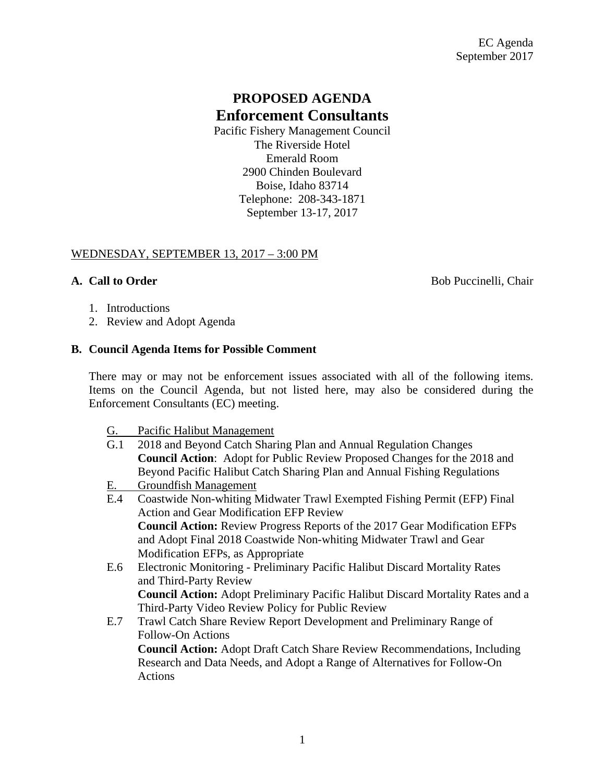# **PROPOSED AGENDA Enforcement Consultants**

Pacific Fishery Management Council The Riverside Hotel Emerald Room 2900 Chinden Boulevard Boise, Idaho 83714 Telephone: 208-343-1871 September 13-17, 2017

### WEDNESDAY, SEPTEMBER 13, 2017 – 3:00 PM

**A. Call to Order** Bob Puccinelli, Chair

- 1. Introductions
- 2. Review and Adopt Agenda

#### **B. Council Agenda Items for Possible Comment**

There may or may not be enforcement issues associated with all of the following items. Items on the Council Agenda, but not listed here, may also be considered during the Enforcement Consultants (EC) meeting.

- G. Pacific Halibut Management
- G.1 2018 and Beyond Catch Sharing Plan and Annual Regulation Changes **Council Action**: Adopt for Public Review Proposed Changes for the 2018 and Beyond Pacific Halibut Catch Sharing Plan and Annual Fishing Regulations
- E. Groundfish Management
- E.4 Coastwide Non-whiting Midwater Trawl Exempted Fishing Permit (EFP) Final Action and Gear Modification EFP Review **Council Action:** Review Progress Reports of the 2017 Gear Modification EFPs and Adopt Final 2018 Coastwide Non-whiting Midwater Trawl and Gear Modification EFPs, as Appropriate
- E.6 Electronic Monitoring Preliminary Pacific Halibut Discard Mortality Rates and Third-Party Review **Council Action:** Adopt Preliminary Pacific Halibut Discard Mortality Rates and a Third-Party Video Review Policy for Public Review
- E.7 Trawl Catch Share Review Report Development and Preliminary Range of Follow-On Actions **Council Action:** Adopt Draft Catch Share Review Recommendations, Including Research and Data Needs, and Adopt a Range of Alternatives for Follow-On Actions